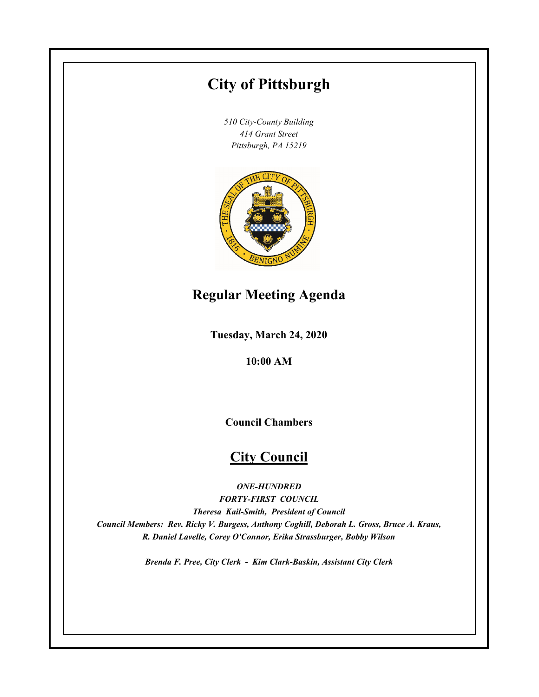# **City of Pittsburgh**

*510 City-County Building 414 Grant Street Pittsburgh, PA 15219*



# **Regular Meeting Agenda**

**Tuesday, March 24, 2020**

**10:00 AM**

**Council Chambers**

# **City Council**

*ONE-HUNDRED*

*FORTY-FIRST COUNCIL Theresa Kail-Smith, President of Council Council Members: Rev. Ricky V. Burgess, Anthony Coghill, Deborah L. Gross, Bruce A. Kraus, R. Daniel Lavelle, Corey O'Connor, Erika Strassburger, Bobby Wilson*

*Brenda F. Pree, City Clerk - Kim Clark-Baskin, Assistant City Clerk*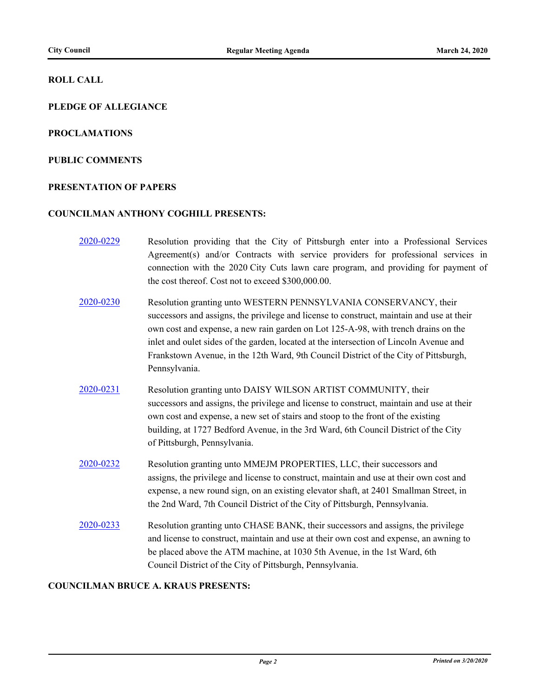### **ROLL CALL**

# **PLEDGE OF ALLEGIANCE**

#### **PROCLAMATIONS**

#### **PUBLIC COMMENTS**

#### **PRESENTATION OF PAPERS**

#### **COUNCILMAN ANTHONY COGHILL PRESENTS:**

- [2020-0229](http://pittsburgh.legistar.com/gateway.aspx?m=l&id=/matter.aspx?key=25016) Resolution providing that the City of Pittsburgh enter into a Professional Services Agreement(s) and/or Contracts with service providers for professional services in connection with the 2020 City Cuts lawn care program, and providing for payment of the cost thereof. Cost not to exceed \$300,000.00.
- [2020-0230](http://pittsburgh.legistar.com/gateway.aspx?m=l&id=/matter.aspx?key=25017) Resolution granting unto WESTERN PENNSYLVANIA CONSERVANCY, their successors and assigns, the privilege and license to construct, maintain and use at their own cost and expense, a new rain garden on Lot 125-A-98, with trench drains on the inlet and oulet sides of the garden, located at the intersection of Lincoln Avenue and Frankstown Avenue, in the 12th Ward, 9th Council District of the City of Pittsburgh, Pennsylvania.
- [2020-0231](http://pittsburgh.legistar.com/gateway.aspx?m=l&id=/matter.aspx?key=25018) Resolution granting unto DAISY WILSON ARTIST COMMUNITY, their successors and assigns, the privilege and license to construct, maintain and use at their own cost and expense, a new set of stairs and stoop to the front of the existing building, at 1727 Bedford Avenue, in the 3rd Ward, 6th Council District of the City of Pittsburgh, Pennsylvania.
- [2020-0232](http://pittsburgh.legistar.com/gateway.aspx?m=l&id=/matter.aspx?key=25019) Resolution granting unto MMEJM PROPERTIES, LLC, their successors and assigns, the privilege and license to construct, maintain and use at their own cost and expense, a new round sign, on an existing elevator shaft, at 2401 Smallman Street, in the 2nd Ward, 7th Council District of the City of Pittsburgh, Pennsylvania.
- [2020-0233](http://pittsburgh.legistar.com/gateway.aspx?m=l&id=/matter.aspx?key=25020) Resolution granting unto CHASE BANK, their successors and assigns, the privilege and license to construct, maintain and use at their own cost and expense, an awning to be placed above the ATM machine, at 1030 5th Avenue, in the 1st Ward, 6th Council District of the City of Pittsburgh, Pennsylvania.

## **COUNCILMAN BRUCE A. KRAUS PRESENTS:**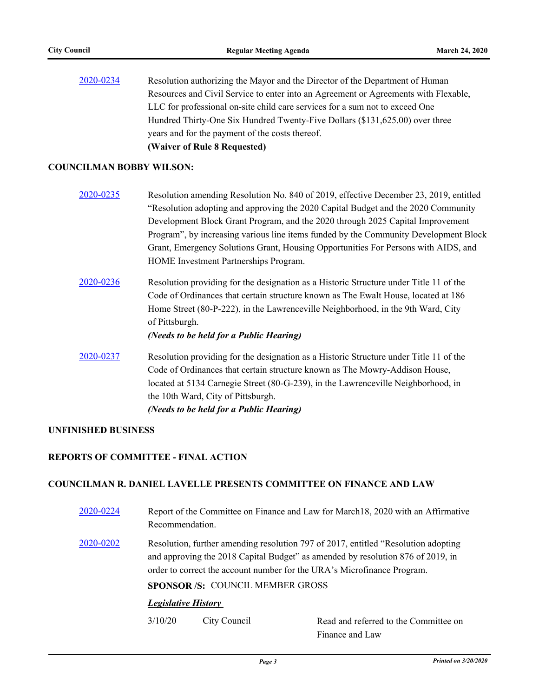[2020-0234](http://pittsburgh.legistar.com/gateway.aspx?m=l&id=/matter.aspx?key=25021) Resolution authorizing the Mayor and the Director of the Department of Human Resources and Civil Service to enter into an Agreement or Agreements with Flexable, LLC for professional on-site child care services for a sum not to exceed One Hundred Thirty-One Six Hundred Twenty-Five Dollars (\$131,625.00) over three years and for the payment of the costs thereof. **(Waiver of Rule 8 Requested)**

#### **COUNCILMAN BOBBY WILSON:**

| 2020-0235 | Resolution amending Resolution No. 840 of 2019, effective December 23, 2019, entitled |
|-----------|---------------------------------------------------------------------------------------|
|           | "Resolution adopting and approving the 2020 Capital Budget and the 2020 Community     |
|           | Development Block Grant Program, and the 2020 through 2025 Capital Improvement        |
|           | Program", by increasing various line items funded by the Community Development Block  |
|           | Grant, Emergency Solutions Grant, Housing Opportunities For Persons with AIDS, and    |
|           | HOME Investment Partnerships Program.                                                 |
|           |                                                                                       |

[2020-0236](http://pittsburgh.legistar.com/gateway.aspx?m=l&id=/matter.aspx?key=25023) Resolution providing for the designation as a Historic Structure under Title 11 of the Code of Ordinances that certain structure known as The Ewalt House, located at 186 Home Street (80-P-222), in the Lawrenceville Neighborhood, in the 9th Ward, City of Pittsburgh.

*(Needs to be held for a Public Hearing)*

[2020-0237](http://pittsburgh.legistar.com/gateway.aspx?m=l&id=/matter.aspx?key=25024) Resolution providing for the designation as a Historic Structure under Title 11 of the Code of Ordinances that certain structure known as The Mowry-Addison House, located at 5134 Carnegie Street (80-G-239), in the Lawrenceville Neighborhood, in the 10th Ward, City of Pittsburgh. *(Needs to be held for a Public Hearing)*

### **UNFINISHED BUSINESS**

#### **REPORTS OF COMMITTEE - FINAL ACTION**

#### **COUNCILMAN R. DANIEL LAVELLE PRESENTS COMMITTEE ON FINANCE AND LAW**

[2020-0224](http://pittsburgh.legistar.com/gateway.aspx?m=l&id=/matter.aspx?key=25011) Report of the Committee on Finance and Law for March18, 2020 with an Affirmative Recommendation. [2020-0202](http://pittsburgh.legistar.com/gateway.aspx?m=l&id=/matter.aspx?key=24987) Resolution, further amending resolution 797 of 2017, entitled "Resolution adopting and approving the 2018 Capital Budget" as amended by resolution 876 of 2019, in order to correct the account number for the URA's Microfinance Program. **SPONSOR /S:** COUNCIL MEMBER GROSS *Legislative History*  3/10/20 City Council Read and referred to the Committee on

Finance and Law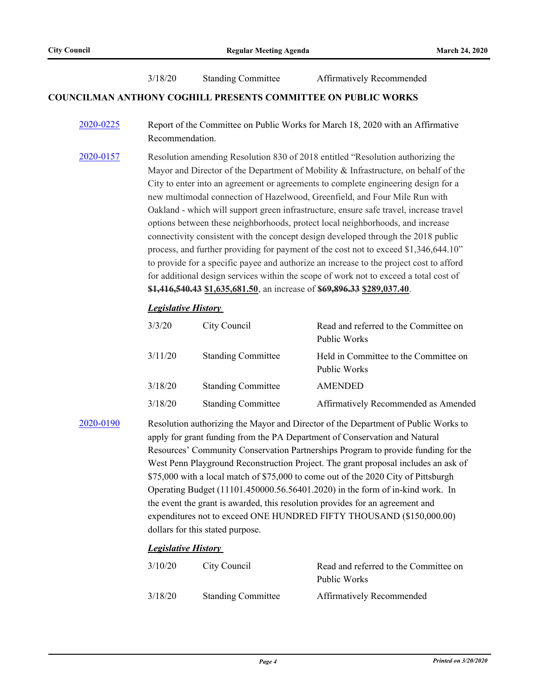3/18/20 Standing Committee Affirmatively Recommended

#### **COUNCILMAN ANTHONY COGHILL PRESENTS COMMITTEE ON PUBLIC WORKS**

- [2020-0225](http://pittsburgh.legistar.com/gateway.aspx?m=l&id=/matter.aspx?key=25012) Report of the Committee on Public Works for March 18, 2020 with an Affirmative Recommendation.
- [2020-0157](http://pittsburgh.legistar.com/gateway.aspx?m=l&id=/matter.aspx?key=24942) Resolution amending Resolution 830 of 2018 entitled "Resolution authorizing the Mayor and Director of the Department of Mobility & Infrastructure, on behalf of the City to enter into an agreement or agreements to complete engineering design for a new multimodal connection of Hazelwood, Greenfield, and Four Mile Run with Oakland - which will support green infrastructure, ensure safe travel, increase travel options between these neighborhoods, protect local neighborhoods, and increase connectivity consistent with the concept design developed through the 2018 public process, and further providing for payment of the cost not to exceed \$1,346,644.10" to provide for a specific payee and authorize an increase to the project cost to afford for additional design services within the scope of work not to exceed a total cost of **\$1,416,540.43 \$1,635,681.50**, an increase of **\$69,896.33 \$289,037.40**.

#### *Legislative History*

| 3/3/20  | City Council              | Read and referred to the Committee on<br>Public Works |
|---------|---------------------------|-------------------------------------------------------|
| 3/11/20 | <b>Standing Committee</b> | Held in Committee to the Committee on<br>Public Works |
| 3/18/20 | <b>Standing Committee</b> | AMENDED                                               |
| 3/18/20 | <b>Standing Committee</b> | Affirmatively Recommended as Amended                  |

[2020-0190](http://pittsburgh.legistar.com/gateway.aspx?m=l&id=/matter.aspx?key=24975) Resolution authorizing the Mayor and Director of the Department of Public Works to apply for grant funding from the PA Department of Conservation and Natural Resources' Community Conservation Partnerships Program to provide funding for the West Penn Playground Reconstruction Project. The grant proposal includes an ask of \$75,000 with a local match of \$75,000 to come out of the 2020 City of Pittsburgh Operating Budget (11101.450000.56.56401.2020) in the form of in-kind work. In the event the grant is awarded, this resolution provides for an agreement and expenditures not to exceed ONE HUNDRED FIFTY THOUSAND (\$150,000.00) dollars for this stated purpose.

#### *Legislative History*

| 3/10/20 | City Council              | Read and referred to the Committee on |
|---------|---------------------------|---------------------------------------|
|         |                           | Public Works                          |
| 3/18/20 | <b>Standing Committee</b> | <b>Affirmatively Recommended</b>      |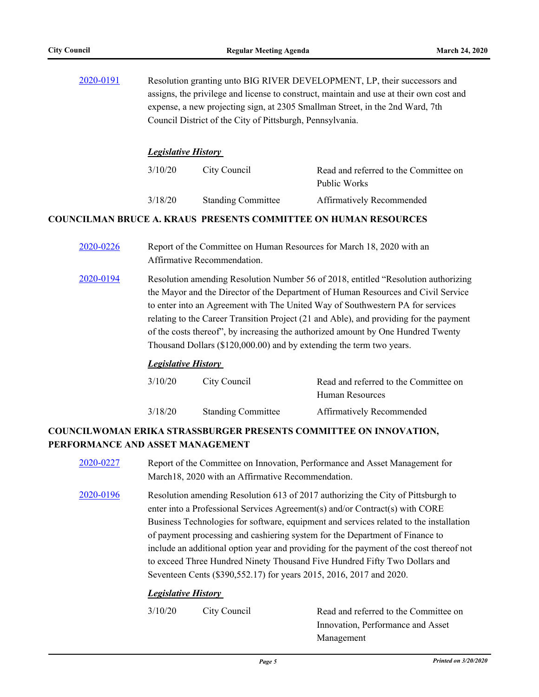[2020-0191](http://pittsburgh.legistar.com/gateway.aspx?m=l&id=/matter.aspx?key=24976) Resolution granting unto BIG RIVER DEVELOPMENT, LP, their successors and assigns, the privilege and license to construct, maintain and use at their own cost and expense, a new projecting sign, at 2305 Smallman Street, in the 2nd Ward, 7th Council District of the City of Pittsburgh, Pennsylvania. *Legislative History* 

| 3/10/20 | City Council              | Read and referred to the Committee on |
|---------|---------------------------|---------------------------------------|
|         |                           | Public Works                          |
| 3/18/20 | <b>Standing Committee</b> | <b>Affirmatively Recommended</b>      |

## **COUNCILMAN BRUCE A. KRAUS PRESENTS COMMITTEE ON HUMAN RESOURCES**

- [2020-0226](http://pittsburgh.legistar.com/gateway.aspx?m=l&id=/matter.aspx?key=25013) Report of the Committee on Human Resources for March 18, 2020 with an Affirmative Recommendation.
- [2020-0194](http://pittsburgh.legistar.com/gateway.aspx?m=l&id=/matter.aspx?key=24979) Resolution amending Resolution Number 56 of 2018, entitled "Resolution authorizing the Mayor and the Director of the Department of Human Resources and Civil Service to enter into an Agreement with The United Way of Southwestern PA for services relating to the Career Transition Project (21 and Able), and providing for the payment of the costs thereof", by increasing the authorized amount by One Hundred Twenty Thousand Dollars (\$120,000.00) and by extending the term two years.

#### *Legislative History*

| 3/10/20 | City Council              | Read and referred to the Committee on |
|---------|---------------------------|---------------------------------------|
|         |                           | Human Resources                       |
| 3/18/20 | <b>Standing Committee</b> | Affirmatively Recommended             |

# **COUNCILWOMAN ERIKA STRASSBURGER PRESENTS COMMITTEE ON INNOVATION, PERFORMANCE AND ASSET MANAGEMENT**

- [2020-0227](http://pittsburgh.legistar.com/gateway.aspx?m=l&id=/matter.aspx?key=25014) Report of the Committee on Innovation, Performance and Asset Management for March18, 2020 with an Affirmative Recommendation.
- [2020-0196](http://pittsburgh.legistar.com/gateway.aspx?m=l&id=/matter.aspx?key=24981) Resolution amending Resolution 613 of 2017 authorizing the City of Pittsburgh to enter into a Professional Services Agreement(s) and/or Contract(s) with CORE Business Technologies for software, equipment and services related to the installation of payment processing and cashiering system for the Department of Finance to include an additional option year and providing for the payment of the cost thereof not to exceed Three Hundred Ninety Thousand Five Hundred Fifty Two Dollars and Seventeen Cents (\$390,552.17) for years 2015, 2016, 2017 and 2020.

#### *Legislative History*

3/10/20 City Council Read and referred to the Committee on Innovation, Performance and Asset Management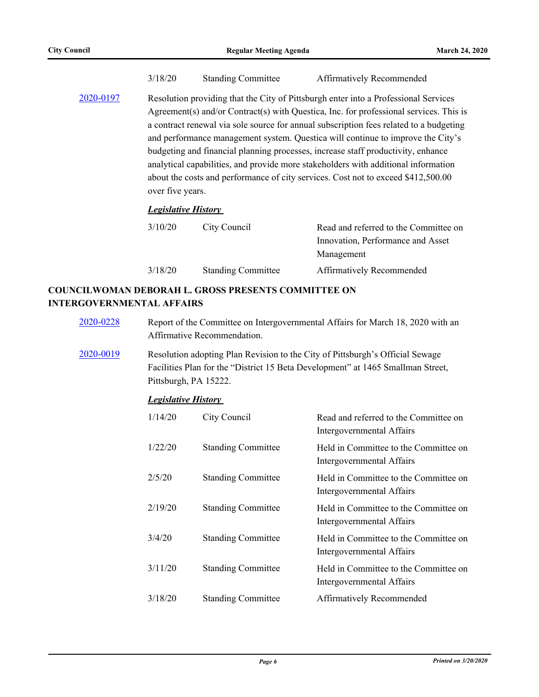| 3/18/20 | <b>Standing Committee</b> | Affirmatively Recommended |
|---------|---------------------------|---------------------------|
|---------|---------------------------|---------------------------|

[2020-0197](http://pittsburgh.legistar.com/gateway.aspx?m=l&id=/matter.aspx?key=24982) Resolution providing that the City of Pittsburgh enter into a Professional Services Agreement(s) and/or Contract(s) with Questica, Inc. for professional services. This is a contract renewal via sole source for annual subscription fees related to a budgeting and performance management system. Questica will continue to improve the City's budgeting and financial planning processes, increase staff productivity, enhance analytical capabilities, and provide more stakeholders with additional information about the costs and performance of city services. Cost not to exceed \$412,500.00 over five years.

#### *Legislative History*

| 3/10/20 | City Council              | Read and referred to the Committee on |
|---------|---------------------------|---------------------------------------|
|         |                           | Innovation, Performance and Asset     |
|         |                           | Management                            |
| 3/18/20 | <b>Standing Committee</b> | Affirmatively Recommended             |

# **COUNCILWOMAN DEBORAH L. GROSS PRESENTS COMMITTEE ON INTERGOVERNMENTAL AFFAIRS**

- [2020-0228](http://pittsburgh.legistar.com/gateway.aspx?m=l&id=/matter.aspx?key=25015) Report of the Committee on Intergovernmental Affairs for March 18, 2020 with an Affirmative Recommendation.
- [2020-0019](http://pittsburgh.legistar.com/gateway.aspx?m=l&id=/matter.aspx?key=24804) Resolution adopting Plan Revision to the City of Pittsburgh's Official Sewage Facilities Plan for the "District 15 Beta Development" at 1465 Smallman Street, Pittsburgh, PA 15222.

#### *Legislative History*

| 1/14/20 | City Council              | Read and referred to the Committee on<br>Intergovernmental Affairs |
|---------|---------------------------|--------------------------------------------------------------------|
| 1/22/20 | <b>Standing Committee</b> | Held in Committee to the Committee on<br>Intergovernmental Affairs |
| 2/5/20  | <b>Standing Committee</b> | Held in Committee to the Committee on<br>Intergovernmental Affairs |
| 2/19/20 | <b>Standing Committee</b> | Held in Committee to the Committee on<br>Intergovernmental Affairs |
| 3/4/20  | <b>Standing Committee</b> | Held in Committee to the Committee on<br>Intergovernmental Affairs |
| 3/11/20 | <b>Standing Committee</b> | Held in Committee to the Committee on<br>Intergovernmental Affairs |
| 3/18/20 | <b>Standing Committee</b> | Affirmatively Recommended                                          |